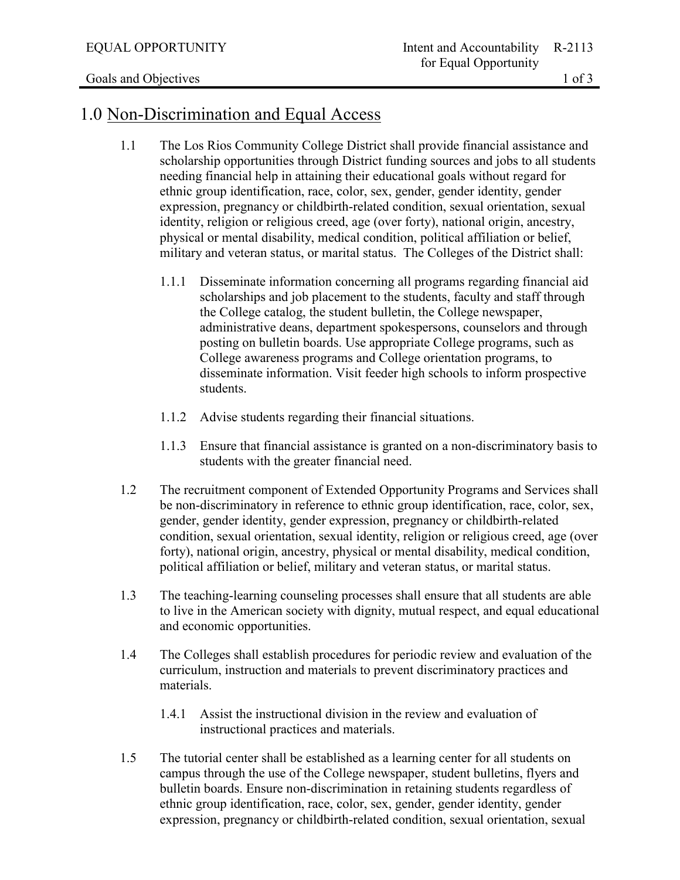## 1.0 Non-Discrimination and Equal Access

- 1.1 The Los Rios Community College District shall provide financial assistance and scholarship opportunities through District funding sources and jobs to all students needing financial help in attaining their educational goals without regard for ethnic group identification, race, color, sex, gender, gender identity, gender expression, pregnancy or childbirth-related condition, sexual orientation, sexual identity, religion or religious creed, age (over forty), national origin, ancestry, physical or mental disability, medical condition, political affiliation or belief, military and veteran status, or marital status. The Colleges of the District shall:
	- 1.1.1 Disseminate information concerning all programs regarding financial aid scholarships and job placement to the students, faculty and staff through the College catalog, the student bulletin, the College newspaper, administrative deans, department spokespersons, counselors and through posting on bulletin boards. Use appropriate College programs, such as College awareness programs and College orientation programs, to disseminate information. Visit feeder high schools to inform prospective students.
	- 1.1.2 Advise students regarding their financial situations.
	- 1.1.3 Ensure that financial assistance is granted on a non-discriminatory basis to students with the greater financial need.
- 1.2 The recruitment component of Extended Opportunity Programs and Services shall be non-discriminatory in reference to ethnic group identification, race, color, sex, gender, gender identity, gender expression, pregnancy or childbirth-related condition, sexual orientation, sexual identity, religion or religious creed, age (over forty), national origin, ancestry, physical or mental disability, medical condition, political affiliation or belief, military and veteran status, or marital status.
- 1.3 The teaching-learning counseling processes shall ensure that all students are able to live in the American society with dignity, mutual respect, and equal educational and economic opportunities.
- 1.4 The Colleges shall establish procedures for periodic review and evaluation of the curriculum, instruction and materials to prevent discriminatory practices and materials.
	- 1.4.1 Assist the instructional division in the review and evaluation of instructional practices and materials.
- 1.5 The tutorial center shall be established as a learning center for all students on campus through the use of the College newspaper, student bulletins, flyers and bulletin boards. Ensure non-discrimination in retaining students regardless of ethnic group identification, race, color, sex, gender, gender identity, gender expression, pregnancy or childbirth-related condition, sexual orientation, sexual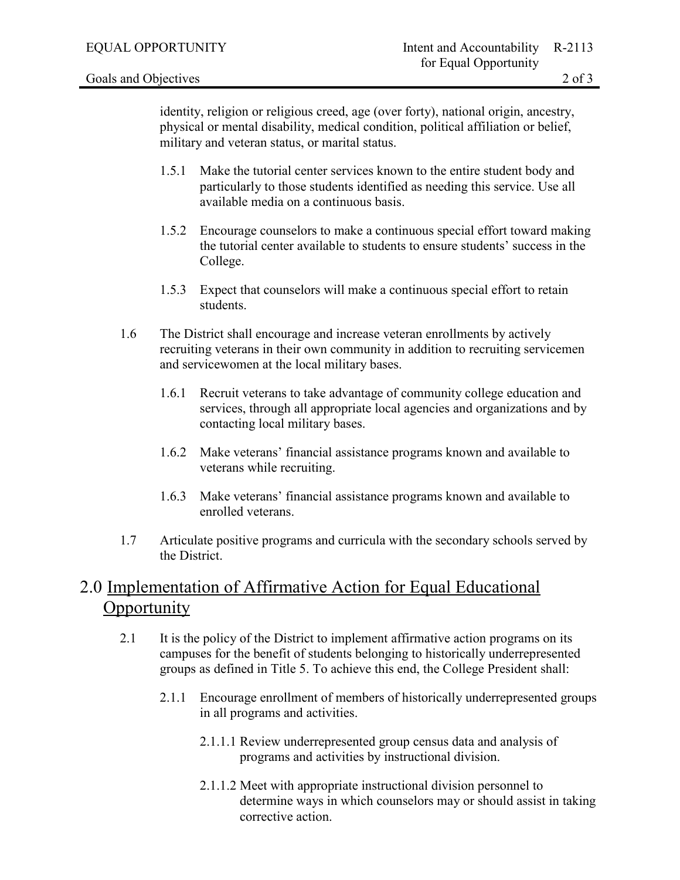identity, religion or religious creed, age (over forty), national origin, ancestry, physical or mental disability, medical condition, political affiliation or belief, military and veteran status, or marital status.

- 1.5.1 Make the tutorial center services known to the entire student body and particularly to those students identified as needing this service. Use all available media on a continuous basis.
- 1.5.2 Encourage counselors to make a continuous special effort toward making the tutorial center available to students to ensure students' success in the College.
- 1.5.3 Expect that counselors will make a continuous special effort to retain students.
- 1.6 The District shall encourage and increase veteran enrollments by actively recruiting veterans in their own community in addition to recruiting servicemen and servicewomen at the local military bases.
	- 1.6.1 Recruit veterans to take advantage of community college education and services, through all appropriate local agencies and organizations and by contacting local military bases.
	- 1.6.2 Make veterans' financial assistance programs known and available to veterans while recruiting.
	- 1.6.3 Make veterans' financial assistance programs known and available to enrolled veterans.
- 1.7 Articulate positive programs and curricula with the secondary schools served by the District.

## 2.0 Implementation of Affirmative Action for Equal Educational Opportunity

- 2.1 It is the policy of the District to implement affirmative action programs on its campuses for the benefit of students belonging to historically underrepresented groups as defined in Title 5. To achieve this end, the College President shall:
	- 2.1.1 Encourage enrollment of members of historically underrepresented groups in all programs and activities.
		- 2.1.1.1 Review underrepresented group census data and analysis of programs and activities by instructional division.
		- 2.1.1.2 Meet with appropriate instructional division personnel to determine ways in which counselors may or should assist in taking corrective action.